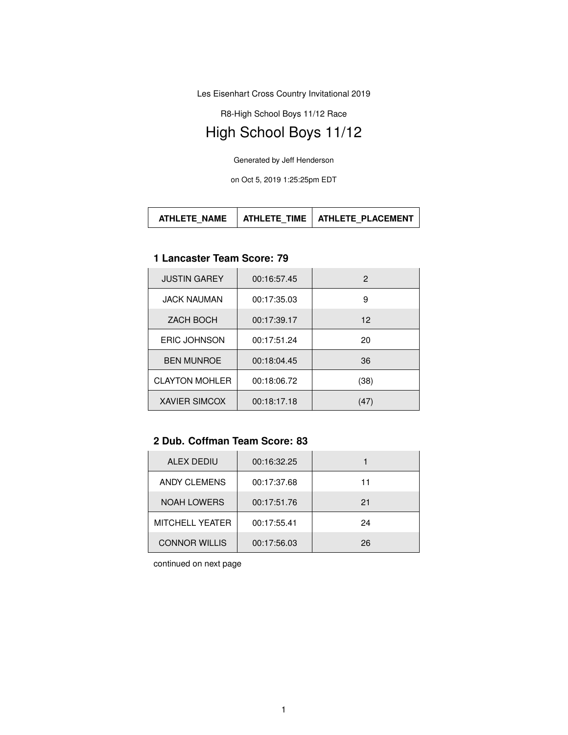Les Eisenhart Cross Country Invitational 2019

R8-High School Boys 11/12 Race

# High School Boys 11/12

Generated by Jeff Henderson

on Oct 5, 2019 1:25:25pm EDT

#### **1 Lancaster Team Score: 79**

| <b>JUSTIN GAREY</b>   | 00:16:57.45 | 2    |
|-----------------------|-------------|------|
| <b>JACK NAUMAN</b>    | 00:17:35.03 | 9    |
| ZACH BOCH             | 00:17:39.17 | 12   |
| <b>ERIC JOHNSON</b>   | 00:17:51.24 | 20   |
| <b>BEN MUNROE</b>     | 00:18:04.45 | 36   |
| <b>CLAYTON MOHLER</b> | 00:18:06.72 | (38) |
| <b>XAVIER SIMCOX</b>  | 00:18:17.18 | (47) |

## **2 Dub. Coffman Team Score: 83**

| ALEX DEDIU             | 00:16:32.25 |    |
|------------------------|-------------|----|
| ANDY CLEMENS           | 00:17:37.68 | 11 |
| <b>NOAH LOWERS</b>     | 00:17:51.76 | 21 |
| <b>MITCHELL YEATER</b> | 00:17:55.41 | 24 |
| <b>CONNOR WILLIS</b>   | 00:17:56.03 | 26 |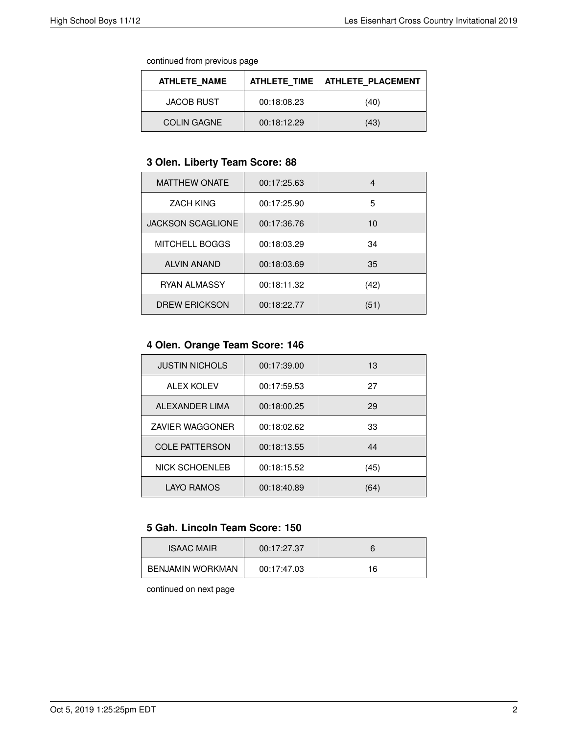continued from previous page

| <b>ATHLETE NAME</b> | <b>ATHLETE TIME</b> | <b>ATHLETE PLACEMENT</b> |
|---------------------|---------------------|--------------------------|
| JACOB RUST          | 00:18:08.23         | (40)                     |
| <b>COLIN GAGNE</b>  | 00:18:12.29         | (43)                     |

# **3 Olen. Liberty Team Score: 88**

| <b>MATTHEW ONATE</b>     | 00:17:25.63 | 4    |
|--------------------------|-------------|------|
| <b>ZACH KING</b>         | 00:17:25.90 | 5    |
| <b>JACKSON SCAGLIONE</b> | 00:17:36.76 | 10   |
| <b>MITCHELL BOGGS</b>    | 00:18:03.29 | 34   |
| <b>ALVIN ANAND</b>       | 00:18:03.69 | 35   |
| <b>RYAN ALMASSY</b>      | 00:18:11.32 | (42) |
| <b>DREW ERICKSON</b>     | 00:18:22.77 | (51) |

# **4 Olen. Orange Team Score: 146**

| <b>JUSTIN NICHOLS</b>  | 00:17:39.00 | 13   |
|------------------------|-------------|------|
| <b>ALEX KOLEV</b>      | 00:17:59.53 | 27   |
| ALEXANDER LIMA         | 00:18:00.25 | 29   |
| <b>ZAVIER WAGGONER</b> | 00:18:02.62 | 33   |
| <b>COLE PATTERSON</b>  | 00:18:13.55 | 44   |
| NICK SCHOENLEB         | 00:18:15.52 | (45) |
| <b>LAYO RAMOS</b>      | 00:18:40.89 | (64) |

# **5 Gah. Lincoln Team Score: 150**

| <b>ISAAC MAIR</b>       | 00:17:27.37 |    |
|-------------------------|-------------|----|
| <b>BENJAMIN WORKMAN</b> | 00:17:47.03 | 16 |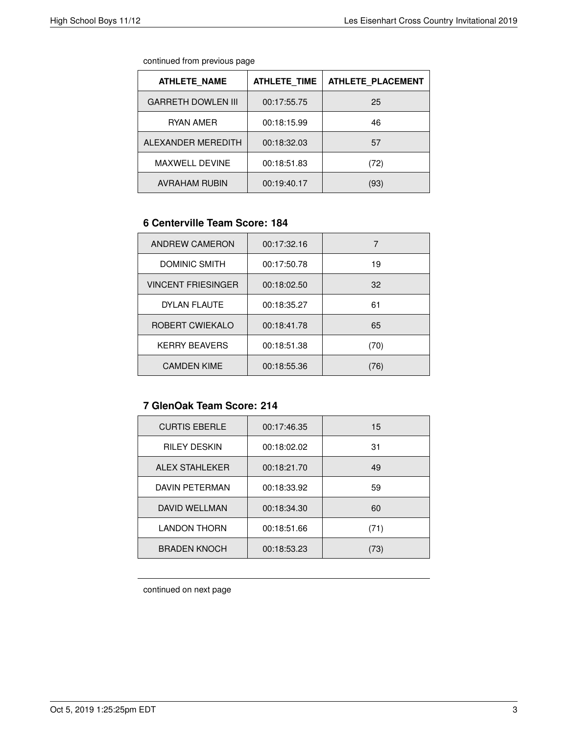| continued from previous page |
|------------------------------|
|                              |

| <b>ATHLETE NAME</b>       | <b>ATHLETE TIME</b> | <b>ATHLETE PLACEMENT</b> |
|---------------------------|---------------------|--------------------------|
| <b>GARRETH DOWLEN III</b> | 00:17:55.75         | 25                       |
| RYAN AMER                 | 00:18:15.99         | 46                       |
| ALEXANDER MEREDITH        | 00:18:32.03         | 57                       |
| <b>MAXWELL DEVINE</b>     | 00:18:51.83         | (72)                     |
| <b>AVRAHAM RUBIN</b>      | 00:19:40.17         | (93)                     |

# **6 Centerville Team Score: 184**

| ANDREW CAMERON            | 00:17:32.16 |      |
|---------------------------|-------------|------|
| DOMINIC SMITH             | 00:17:50.78 | 19   |
| <b>VINCENT FRIESINGER</b> | 00:18:02.50 | 32   |
| <b>DYLAN FLAUTE</b>       | 00:18:35.27 | 61   |
| ROBERT CWIEKALO           | 00:18:41.78 | 65   |
| <b>KERRY BEAVERS</b>      | 00:18:51.38 | (70) |
| <b>CAMDEN KIME</b>        | 00:18:55.36 | 76)  |

## **7 GlenOak Team Score: 214**

| <b>CURTIS EBERLE</b> | 00:17:46.35 | 15   |
|----------------------|-------------|------|
| <b>RILEY DESKIN</b>  | 00:18:02.02 | 31   |
| ALEX STAHLEKER       | 00:18:21.70 | 49   |
| DAVIN PFTFRMAN       | 00:18:33.92 | 59   |
| DAVID WELLMAN        | 00:18:34.30 | 60   |
| <b>LANDON THORN</b>  | 00:18:51.66 | (71) |
| <b>BRADEN KNOCH</b>  | 00:18:53.23 | 73)  |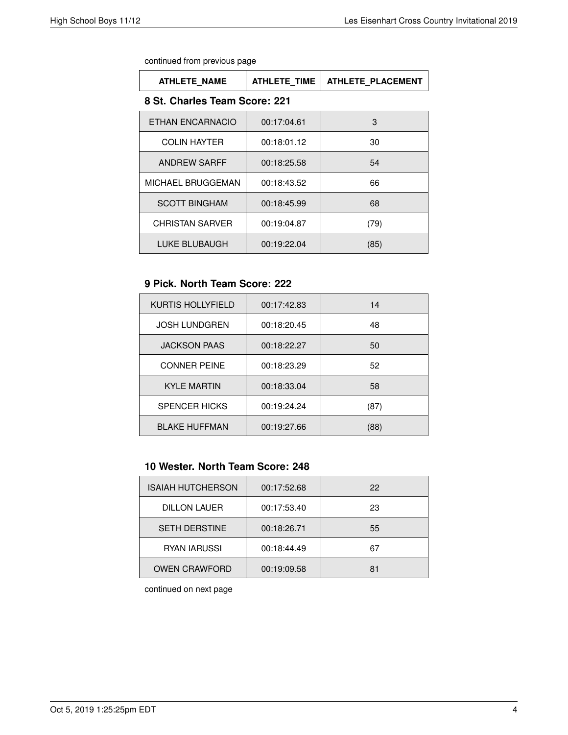| <b>ATHLETE NAME</b>           | <b>ATHLETE TIME</b> | <b>ATHLETE PLACEMENT</b> |
|-------------------------------|---------------------|--------------------------|
| 8 St. Charles Team Score: 221 |                     |                          |
| ETHAN ENCARNACIO              | 00:17:04.61         | 3                        |
| <b>COLIN HAYTER</b>           | 00:18:01.12         | 30                       |
| ANDREW SARFF                  | 00:18:25.58         | 54                       |
| <b>MICHAEL BRUGGEMAN</b>      | 00:18:43.52         | 66                       |
| <b>SCOTT BINGHAM</b>          | 00:18:45.99         | 68                       |
| CHRISTAN SARVER               | 00:19:04.87         | (79)                     |
| LUKE BLUBAUGH                 | 00:19:22.04         | (85)                     |

### **9 Pick. North Team Score: 222**

| <b>KURTIS HOLLYFIELD</b> | 00:17:42.83 | 14   |
|--------------------------|-------------|------|
| <b>JOSH LUNDGREN</b>     | 00:18:20.45 | 48   |
| <b>JACKSON PAAS</b>      | 00:18:22.27 | 50   |
| <b>CONNER PEINE</b>      | 00:18:23.29 | 52   |
| <b>KYLE MARTIN</b>       | 00:18:33.04 | 58   |
| <b>SPENCER HICKS</b>     | 00:19:24.24 | (87) |
| <b>BLAKE HUFFMAN</b>     | 00:19:27.66 | (88) |

# **10 Wester. North Team Score: 248**

| <b>ISAIAH HUTCHERSON</b> | 00:17:52.68 | 22 |
|--------------------------|-------------|----|
| <b>DILLON LAUER</b>      | 00:17:53.40 | 23 |
| <b>SETH DERSTINE</b>     | 00:18:26.71 | 55 |
| <b>RYAN IARUSSI</b>      | 00:18:44.49 | 67 |
| <b>OWEN CRAWFORD</b>     | 00:19:09.58 | 81 |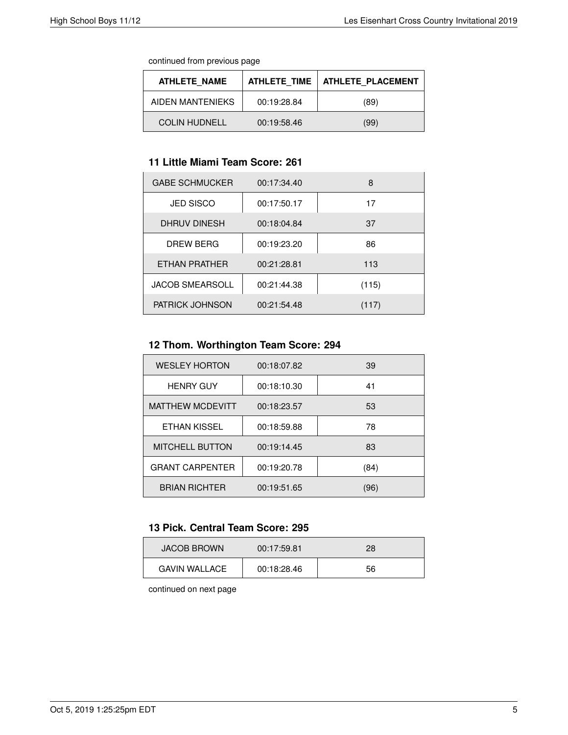continued from previous page

| <b>ATHLETE NAME</b>  | <b>ATHLETE TIME</b> | <b>ATHLETE PLACEMENT</b> |
|----------------------|---------------------|--------------------------|
| AIDEN MANTENIEKS     | 00:19:28.84         | (89)                     |
| <b>COLIN HUDNELL</b> | 00:19:58.46         | (99)                     |

# **11 Little Miami Team Score: 261**

| <b>GABE SCHMUCKER</b>  | 00:17:34.40 | 8     |
|------------------------|-------------|-------|
| <b>JED SISCO</b>       | 00:17:50.17 | 17    |
| DHRUV DINESH           | 00:18:04.84 | 37    |
| DREW BERG              | 00:19:23.20 | 86    |
| ETHAN PRATHER          | 00:21:28.81 | 113   |
| <b>JACOB SMEARSOLL</b> | 00:21:44.38 | (115) |
| <b>PATRICK JOHNSON</b> | 00:21:54.48 | (117) |

# **12 Thom. Worthington Team Score: 294**

| <b>WESLEY HORTON</b>    | 00:18:07.82 | 39   |
|-------------------------|-------------|------|
| <b>HENRY GUY</b>        | 00:18:10.30 | 41   |
| <b>MATTHEW MCDEVITT</b> | 00:18:23.57 | 53   |
| ETHAN KISSEL            | 00:18:59.88 | 78   |
| <b>MITCHELL BUTTON</b>  | 00:19:14.45 | 83   |
| <b>GRANT CARPENTER</b>  | 00:19:20.78 | (84) |
| <b>BRIAN RICHTER</b>    | 00:19:51.65 | (96) |

#### **13 Pick. Central Team Score: 295**

| <b>JACOB BROWN</b>   | 00:17:59.81 | 28 |
|----------------------|-------------|----|
| <b>GAVIN WALLACE</b> | 00:18:28.46 | 56 |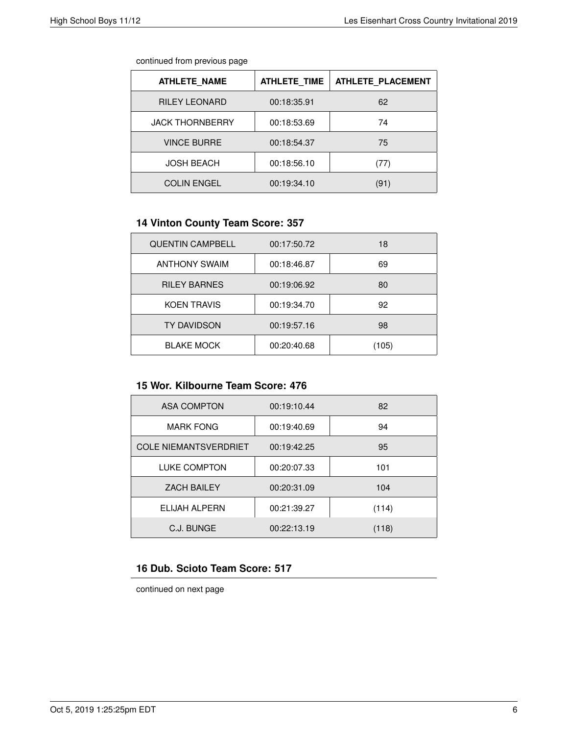#### continued from previous page

| <b>ATHLETE NAME</b>    | <b>ATHLETE TIME</b> | ATHLETE PLACEMENT |
|------------------------|---------------------|-------------------|
| <b>RILEY LEONARD</b>   | 00:18:35.91         | 62                |
| <b>JACK THORNBERRY</b> | 00:18:53.69         | 74                |
| <b>VINCE BURRE</b>     | 00:18:54.37         | 75                |
| <b>JOSH BEACH</b>      | 00:18:56.10         | (77)              |
| <b>COLIN ENGEL</b>     | 00:19:34.10         | (91)              |

# **14 Vinton County Team Score: 357**

| <b>QUENTIN CAMPBELL</b> | 00:17:50.72 | 18    |
|-------------------------|-------------|-------|
| <b>ANTHONY SWAIM</b>    | 00:18:46.87 | 69    |
| <b>RILEY BARNES</b>     | 00:19:06.92 | 80    |
| <b>KOEN TRAVIS</b>      | 00:19:34.70 | 92    |
| <b>TY DAVIDSON</b>      | 00:19:57.16 | 98    |
| <b>BLAKE MOCK</b>       | 00:20:40.68 | (105) |

#### **15 Wor. Kilbourne Team Score: 476**

| <b>ASA COMPTON</b>           | 00:19:10.44 | 82    |
|------------------------------|-------------|-------|
| <b>MARK FONG</b>             | 00:19:40.69 | 94    |
| <b>COLE NIEMANTSVERDRIET</b> | 00:19:42.25 | 95    |
| <b>LUKE COMPTON</b>          | 00:20:07.33 | 101   |
| <b>ZACH BAILEY</b>           | 00:20:31.09 | 104   |
| ELIJAH ALPERN                | 00:21:39.27 | (114) |
| C.J. BUNGE                   | 00:22:13.19 | (118) |

# **16 Dub. Scioto Team Score: 517**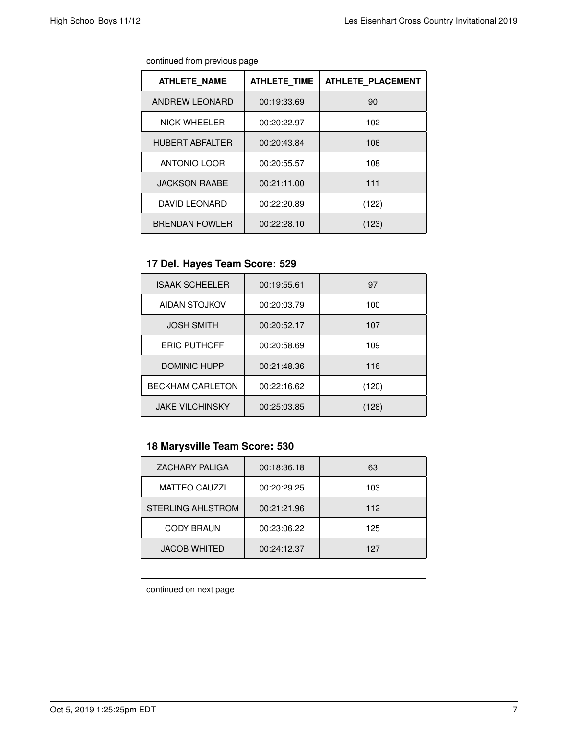| continued from previous page |  |  |
|------------------------------|--|--|
|                              |  |  |

| <b>ATHLETE NAME</b>    | <b>ATHLETE TIME</b> | <b>ATHLETE PLACEMENT</b> |
|------------------------|---------------------|--------------------------|
| ANDREW LEONARD         | 00:19:33.69         | 90                       |
| <b>NICK WHEELER</b>    | 00:20:22.97         | 102                      |
| <b>HUBERT ABFALTER</b> | 00:20:43.84         | 106                      |
| <b>ANTONIO LOOR</b>    | 00:20:55.57         | 108                      |
| <b>JACKSON RAABE</b>   | 00:21:11.00         | 111                      |
| <b>DAVID LEONARD</b>   | 00:22:20.89         | (122)                    |
| <b>BRENDAN FOWLER</b>  | 00:22:28.10         | (123)                    |

# **17 Del. Hayes Team Score: 529**

| <b>ISAAK SCHEELER</b>   | 00:19:55.61 | 97    |
|-------------------------|-------------|-------|
| AIDAN STOJKOV           | 00:20:03.79 | 100   |
| <b>JOSH SMITH</b>       | 00:20:52.17 | 107   |
| <b>ERIC PUTHOFF</b>     | 00:20:58.69 | 109   |
| <b>DOMINIC HUPP</b>     | 00:21:48.36 | 116   |
| <b>BECKHAM CARLETON</b> | 00:22:16.62 | (120) |
| <b>JAKE VILCHINSKY</b>  | 00:25:03.85 | (128) |

# **18 Marysville Team Score: 530**

| <b>ZACHARY PALIGA</b>    | 00:18:36.18 | 63  |
|--------------------------|-------------|-----|
| <b>MATTEO CAUZZI</b>     | 00:20:29.25 | 103 |
| <b>STERLING AHLSTROM</b> | 00:21:21.96 | 112 |
| <b>CODY BRAUN</b>        | 00:23:06.22 | 125 |
| <b>JACOB WHITED</b>      | 00:24:12.37 | 127 |